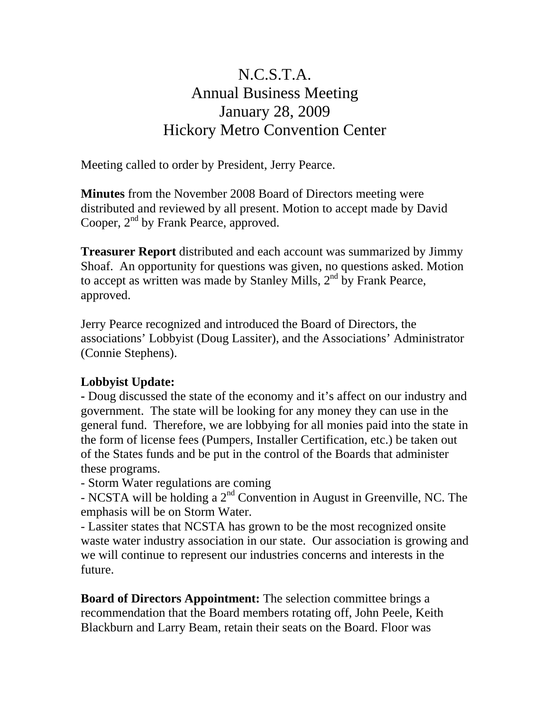## N.C.S.T.A. Annual Business Meeting January 28, 2009 Hickory Metro Convention Center

Meeting called to order by President, Jerry Pearce.

**Minutes** from the November 2008 Board of Directors meeting were distributed and reviewed by all present. Motion to accept made by David Cooper,  $2<sup>nd</sup>$  by Frank Pearce, approved.

**Treasurer Report** distributed and each account was summarized by Jimmy Shoaf. An opportunity for questions was given, no questions asked. Motion to accept as written was made by Stanley Mills,  $2<sup>nd</sup>$  by Frank Pearce, approved.

Jerry Pearce recognized and introduced the Board of Directors, the associations' Lobbyist (Doug Lassiter), and the Associations' Administrator (Connie Stephens).

## **Lobbyist Update:**

**-** Doug discussed the state of the economy and it's affect on our industry and government. The state will be looking for any money they can use in the general fund. Therefore, we are lobbying for all monies paid into the state in the form of license fees (Pumpers, Installer Certification, etc.) be taken out of the States funds and be put in the control of the Boards that administer these programs.

- Storm Water regulations are coming

- NCSTA will be holding a  $2<sup>nd</sup>$  Convention in August in Greenville, NC. The emphasis will be on Storm Water.

- Lassiter states that NCSTA has grown to be the most recognized onsite waste water industry association in our state. Our association is growing and we will continue to represent our industries concerns and interests in the future.

**Board of Directors Appointment:** The selection committee brings a recommendation that the Board members rotating off, John Peele, Keith Blackburn and Larry Beam, retain their seats on the Board. Floor was